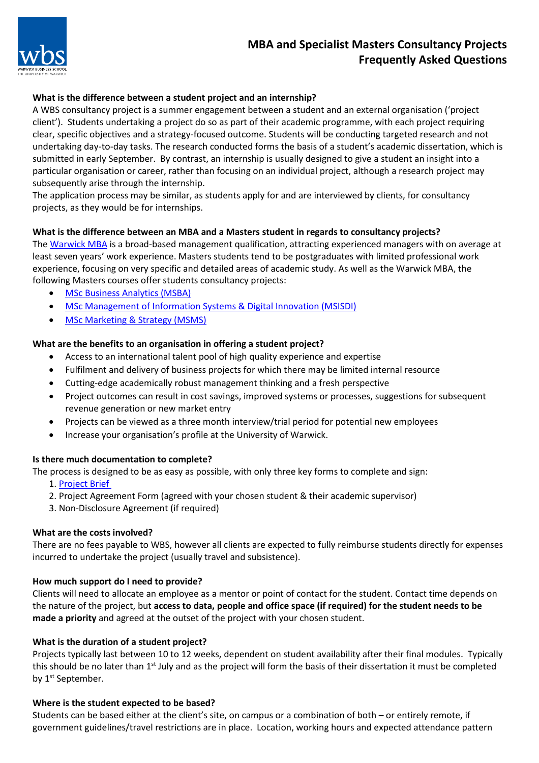

# **MBA and Specialist Masters Consultancy Projects Frequently Asked Questions**

# **What is the difference between a student project and an internship?**

A WBS consultancy project is a summer engagement between a student and an external organisation ('project client'). Students undertaking a project do so as part of their academic programme, with each project requiring clear, specific objectives and a strategy-focused outcome. Students will be conducting targeted research and not undertaking day-to-day tasks. The research conducted forms the basis of a student's academic dissertation, which is submitted in early September. By contrast, an internship is usually designed to give a student an insight into a particular organisation or career, rather than focusing on an individual project, although a research project may subsequently arise through the internship.

The application process may be similar, as students apply for and are interviewed by clients, for consultancy projects, as they would be for internships.

# **What is the difference between an MBA and a Masters student in regards to consultancy projects?**

The [Warwick MBA i](https://www.wbs.ac.uk/courses/mba/full-time/)s a broad-based management qualification, attracting experienced managers with on average at least seven years' work experience. Masters students tend to be postgraduates with limited professional work experience, focusing on very specific and detailed areas of academic study. As well as the Warwick MBA, the following Masters courses offer students consultancy projects:

- [MSc Business Analytics \(MSBA\)](https://www.wbs.ac.uk/courses/postgraduate/business-analytics/)
- [MSc Management of Information Systems & Digital Innovation \(MSISDI\)](https://www.wbs.ac.uk/courses/postgraduate/management-of-information-systems/)
- [MSc Marketing & Strategy \(MSMS\)](https://www.wbs.ac.uk/courses/postgraduate/marketing-and-strategy/details/)

# **What are the benefits to an organisation in offering a student project?**

- Access to an international talent pool of high quality experience and expertise
- Fulfilment and delivery of business projects for which there may be limited internal resource
- Cutting-edge academically robust management thinking and a fresh perspective
- Project outcomes can result in cost savings, improved systems or processes, suggestions for subsequent revenue generation or new market entry
- Projects can be viewed as a three month interview/trial period for potential new employees
- Increase your organisation's profile at the University of Warwick.

# **Is there much documentation to complete?**

The process is designed to be as easy as possible, with only three key forms to complete and sign:

- 1. [Project Brief](https://customervoice.microsoft.com/Pages/ResponsePage.aspx?id=vc-6Ce9HZUSSZTVG8ur2vG-FSMcqFExIowRNTQ5gDa5UQlAwNFlaWUJVNlcwOEw2QlRXM0lCTEk4Ti4u)
- 2. Project Agreement Form (agreed with your chosen student & their academic supervisor)
- 3. Non-Disclosure Agreement (if required)

# **What are the costs involved?**

There are no fees payable to WBS, however all clients are expected to fully reimburse students directly for expenses incurred to undertake the project (usually travel and subsistence).

# **How much support do I need to provide?**

Clients will need to allocate an employee as a mentor or point of contact for the student. Contact time depends on the nature of the project, but **access to data, people and office space (if required) for the student needs to be made a priority** and agreed at the outset of the project with your chosen student.

# **What is the duration of a student project?**

Projects typically last between 10 to 12 weeks, dependent on student availability after their final modules. Typically this should be no later than  $1<sup>st</sup>$  July and as the project will form the basis of their dissertation it must be completed by 1<sup>st</sup> September.

# **Where is the student expected to be based?**

Students can be based either at the client's site, on campus or a combination of both – or entirely remote, if government guidelines/travel restrictions are in place. Location, working hours and expected attendance pattern